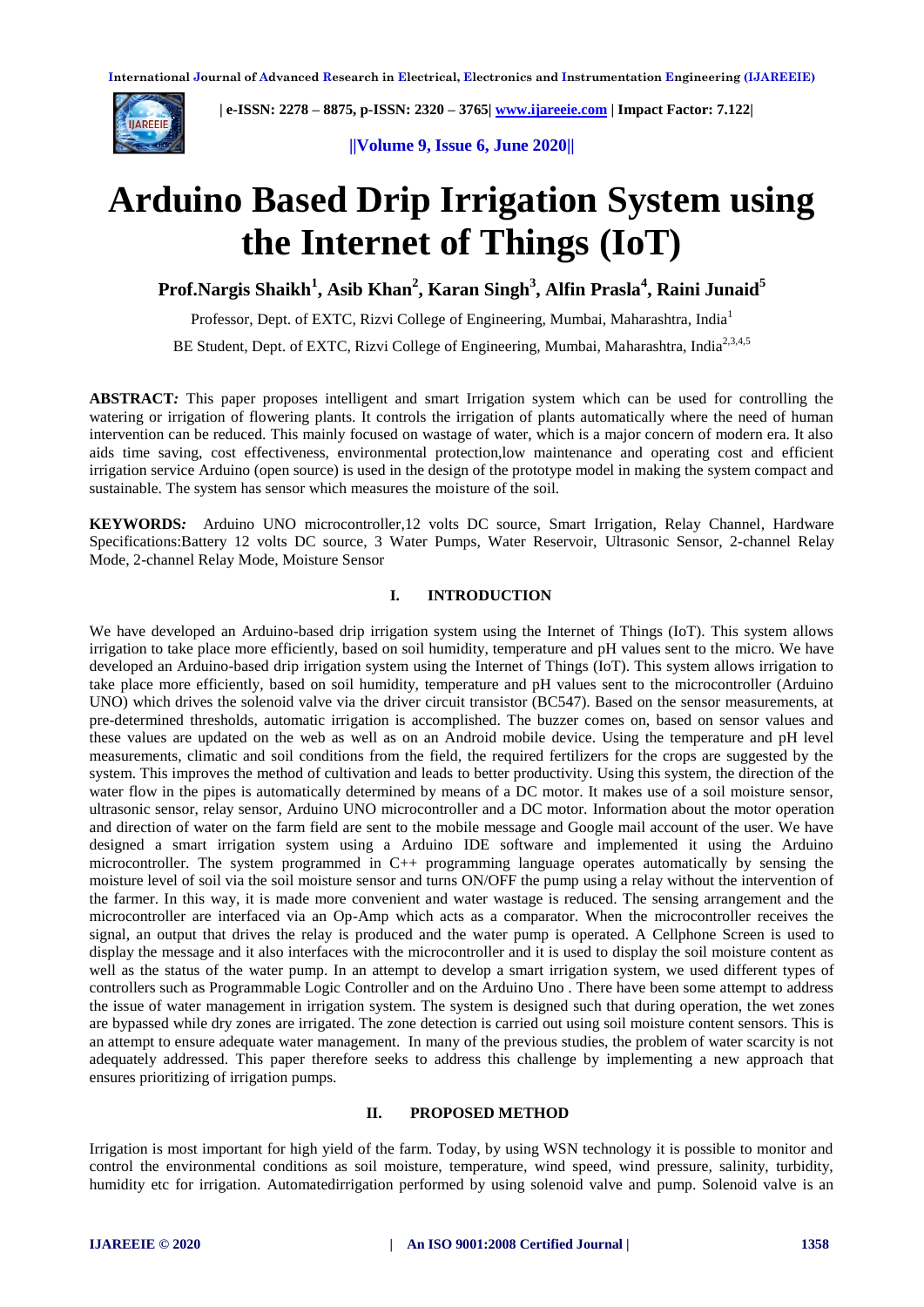

 **| e-ISSN: 2278 – 8875, p-ISSN: 2320 – 3765| [www.ijareeie.com](http://www.ijareeie.com/) | Impact Factor: 7.122|** 

**||Volume 9, Issue 6, June 2020||** 

# **Arduino Based Drip Irrigation System using the Internet of Things (IoT)**

**Prof.Nargis Shaikh<sup>1</sup> , Asib Khan<sup>2</sup> , Karan Singh<sup>3</sup> , Alfin Prasla<sup>4</sup> , Raini Junaid<sup>5</sup>**

Professor, Dept. of EXTC, Rizvi College of Engineering, Mumbai, Maharashtra, India<sup>1</sup>

BE Student, Dept. of EXTC, Rizvi College of Engineering, Mumbai, Maharashtra, India<sup>2,3,4,5</sup>

**ABSTRACT***:* This paper proposes intelligent and smart Irrigation system which can be used for controlling the watering or irrigation of flowering plants. It controls the irrigation of plants automatically where the need of human intervention can be reduced. This mainly focused on wastage of water, which is a major concern of modern era. It also aids time saving, cost effectiveness, environmental protection,low maintenance and operating cost and efficient irrigation service Arduino (open source) is used in the design of the prototype model in making the system compact and sustainable. The system has sensor which measures the moisture of the soil.

**KEYWORDS***:* Arduino UNO microcontroller,12 volts DC source, Smart Irrigation, Relay Channel, Hardware Specifications:Battery 12 volts DC source, 3 Water Pumps, Water Reservoir, Ultrasonic Sensor, 2-channel Relay Mode, 2-channel Relay Mode, Moisture Sensor

## **I. INTRODUCTION**

We have developed an Arduino-based drip irrigation system using the Internet of Things (IoT). This system allows irrigation to take place more efficiently, based on soil humidity, temperature and pH values sent to the micro. We have developed an Arduino-based drip irrigation system using the Internet of Things (IoT). This system allows irrigation to take place more efficiently, based on soil humidity, temperature and pH values sent to the microcontroller (Arduino UNO) which drives the solenoid valve via the driver circuit transistor (BC547). Based on the sensor measurements, at pre-determined thresholds, automatic irrigation is accomplished. The buzzer comes on, based on sensor values and these values are updated on the web as well as on an Android mobile device. Using the temperature and pH level measurements, climatic and soil conditions from the field, the required fertilizers for the crops are suggested by the system. This improves the method of cultivation and leads to better productivity. Using this system, the direction of the water flow in the pipes is automatically determined by means of a DC motor. It makes use of a soil moisture sensor, ultrasonic sensor, relay sensor, Arduino UNO microcontroller and a DC motor. Information about the motor operation and direction of water on the farm field are sent to the mobile message and Google mail account of the user. We have designed a smart irrigation system using a Arduino IDE software and implemented it using the Arduino microcontroller. The system programmed in C++ programming language operates automatically by sensing the moisture level of soil via the soil moisture sensor and turns ON/OFF the pump using a relay without the intervention of the farmer. In this way, it is made more convenient and water wastage is reduced. The sensing arrangement and the microcontroller are interfaced via an Op-Amp which acts as a comparator. When the microcontroller receives the signal, an output that drives the relay is produced and the water pump is operated. A Cellphone Screen is used to display the message and it also interfaces with the microcontroller and it is used to display the soil moisture content as well as the status of the water pump. In an attempt to develop a smart irrigation system, we used different types of controllers such as Programmable Logic Controller and on the Arduino Uno . There have been some attempt to address the issue of water management in irrigation system. The system is designed such that during operation, the wet zones are bypassed while dry zones are irrigated. The zone detection is carried out using soil moisture content sensors. This is an attempt to ensure adequate water management. In many of the previous studies, the problem of water scarcity is not adequately addressed. This paper therefore seeks to address this challenge by implementing a new approach that ensures prioritizing of irrigation pumps.

## **II. PROPOSED METHOD**

Irrigation is most important for high yield of the farm. Today, by using WSN technology it is possible to monitor and control the environmental conditions as soil moisture, temperature, wind speed, wind pressure, salinity, turbidity, humidity etc for irrigation. Automatedirrigation performed by using solenoid valve and pump. Solenoid valve is an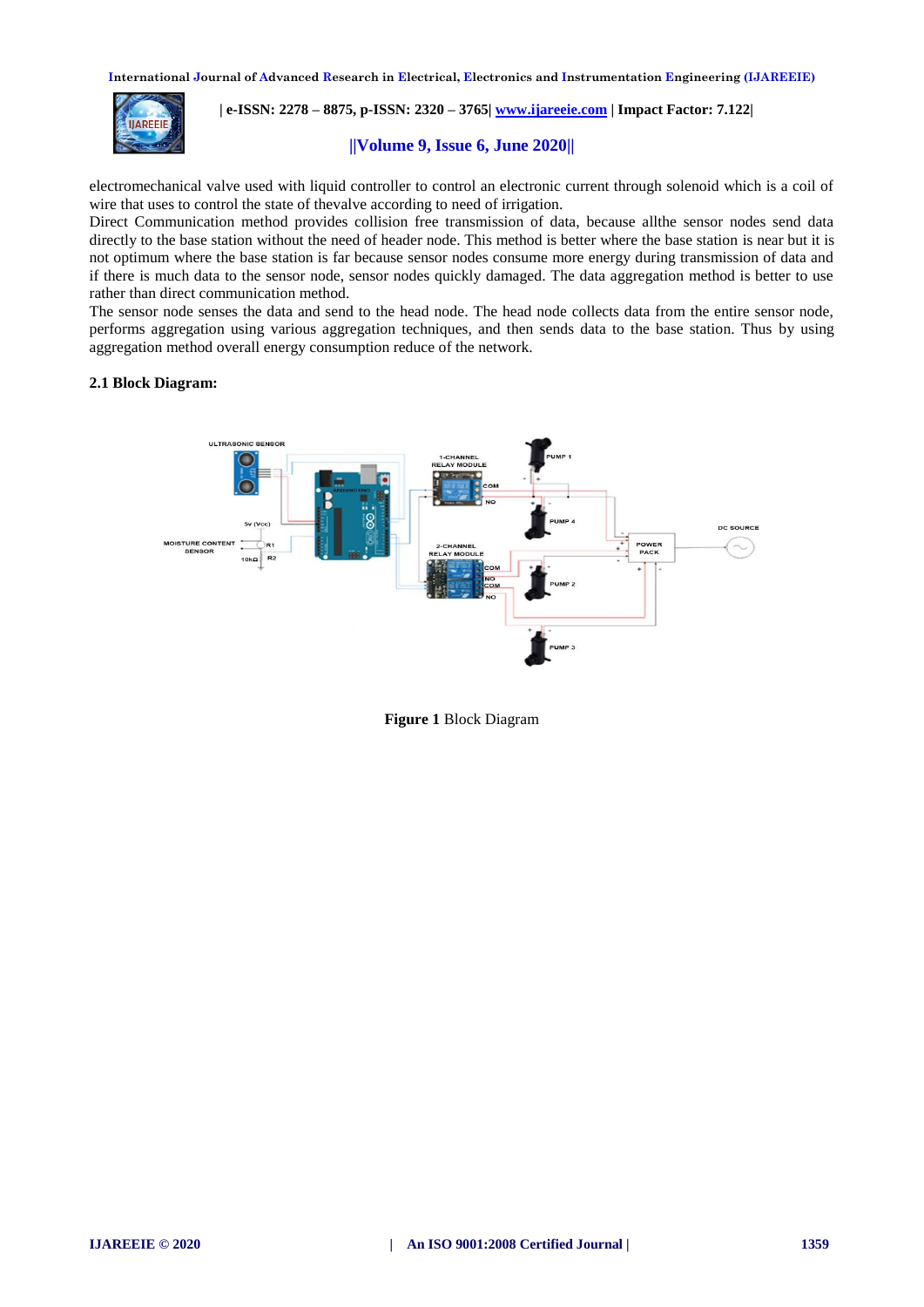

 **| e-ISSN: 2278 – 8875, p-ISSN: 2320 – 3765| [www.ijareeie.com](http://www.ijareeie.com/) | Impact Factor: 7.122|** 

## **||Volume 9, Issue 6, June 2020||**

electromechanical valve used with liquid controller to control an electronic current through solenoid which is a coil of wire that uses to control the state of thevalve according to need of irrigation.

Direct Communication method provides collision free transmission of data, because allthe sensor nodes send data directly to the base station without the need of header node. This method is better where the base station is near but it is not optimum where the base station is far because sensor nodes consume more energy during transmission of data and if there is much data to the sensor node, sensor nodes quickly damaged. The data aggregation method is better to use rather than direct communication method.

The sensor node senses the data and send to the head node. The head node collects data from the entire sensor node, performs aggregation using various aggregation techniques, and then sends data to the base station. Thus by using aggregation method overall energy consumption reduce of the network.

#### **2.1 Block Diagram:**



**Figure 1** Block Diagram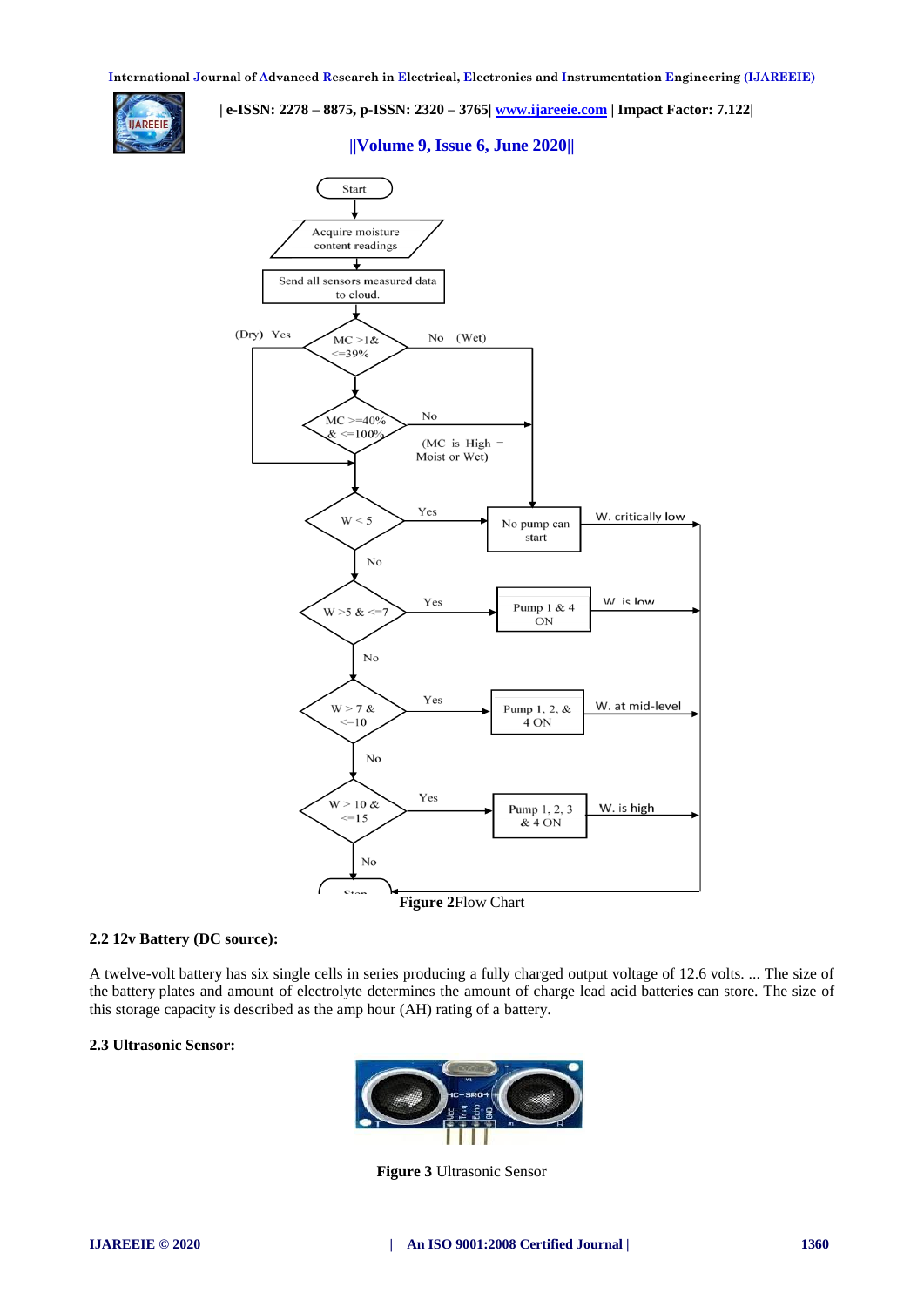

 **| e-ISSN: 2278 – 8875, p-ISSN: 2320 – 3765| [www.ijareeie.com](http://www.ijareeie.com/) | Impact Factor: 7.122|** 

## **||Volume 9, Issue 6, June 2020||**



**Figure 2**Flow Chart

## **2.2 12v Battery (DC source):**

A twelve-volt battery has six single cells in series producing a fully charged output voltage of 12.6 volts. ... The size of the battery plates and amount of electrolyte determines the amount of charge lead acid batterie**s** can store. The size of this storage capacity is described as the amp hour (AH) rating of a battery.

## **2.3 Ultrasonic Sensor:**



**Figure 3** Ultrasonic Sensor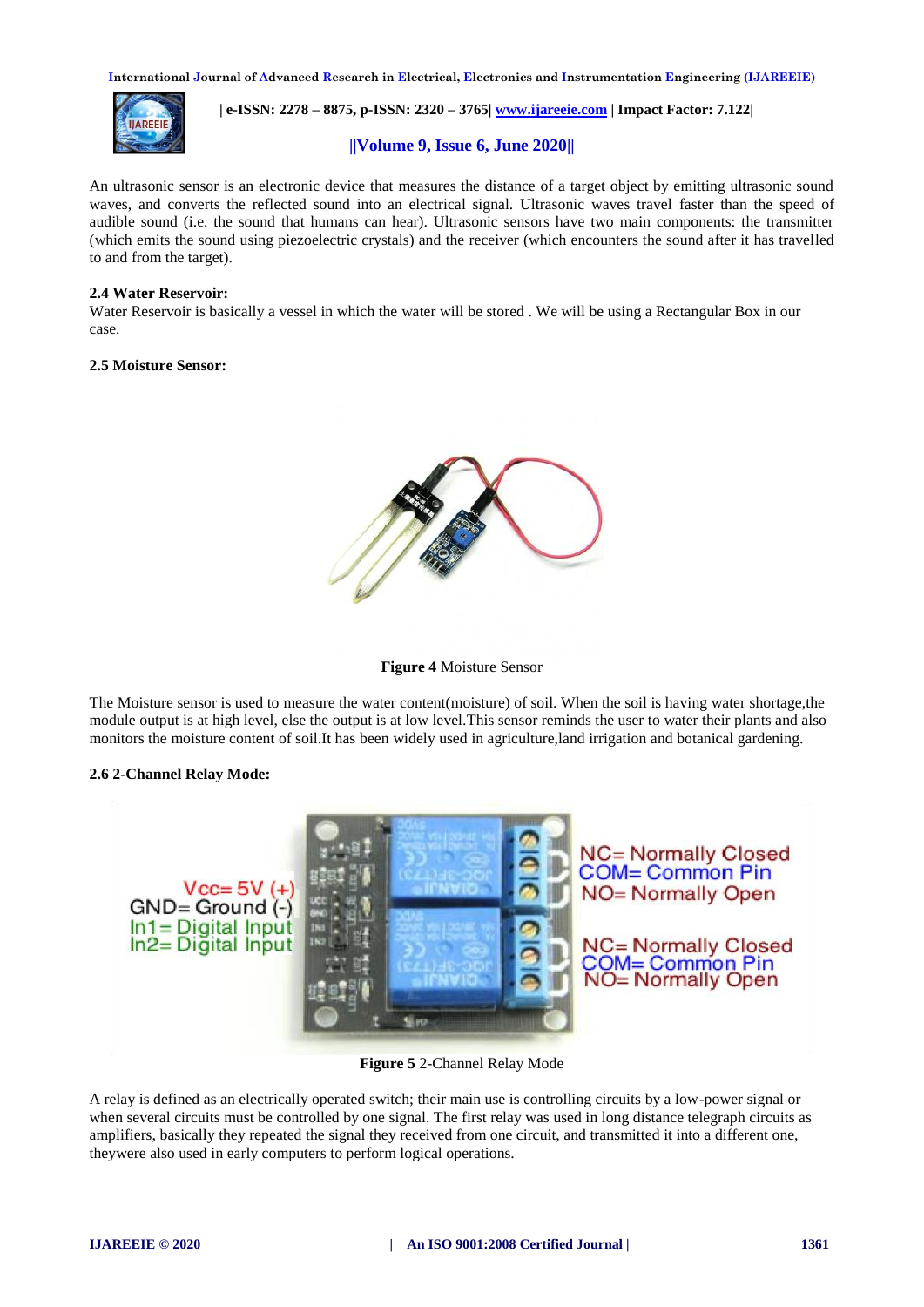

 **| e-ISSN: 2278 – 8875, p-ISSN: 2320 – 3765| [www.ijareeie.com](http://www.ijareeie.com/) | Impact Factor: 7.122|** 

## **||Volume 9, Issue 6, June 2020||**

An ultrasonic sensor is an electronic device that measures the distance of a target object by emitting ultrasonic sound waves, and converts the reflected sound into an electrical signal. Ultrasonic waves travel faster than the speed of audible sound (i.e. the sound that humans can hear). Ultrasonic sensors have two main components: the transmitter (which emits the sound using piezoelectric crystals) and the receiver (which encounters the sound after it has travelled to and from the target).

#### **2.4 Water Reservoir:**

Water Reservoir is basically a vessel in which the water will be stored. We will be using a Rectangular Box in our case.

#### **2.5 Moisture Sensor:**





The Moisture sensor is used to measure the water content(moisture) of soil. When the soil is having water shortage,the module output is at high level, else the output is at low level.This sensor reminds the user to water their plants and also monitors the moisture content of soil.It has been widely used in agriculture,land irrigation and botanical gardening.

#### **2.6 2-Channel Relay Mode:**



**Figure 5** 2-Channel Relay Mode

A relay is defined as an electrically operated switch; their main use is controlling circuits by a low-power signal or when several circuits must be controlled by one signal. The first relay was used in long distance telegraph circuits as amplifiers, basically they repeated the signal they received from one circuit, and transmitted it into a different one, theywere also used in early computers to perform logical operations.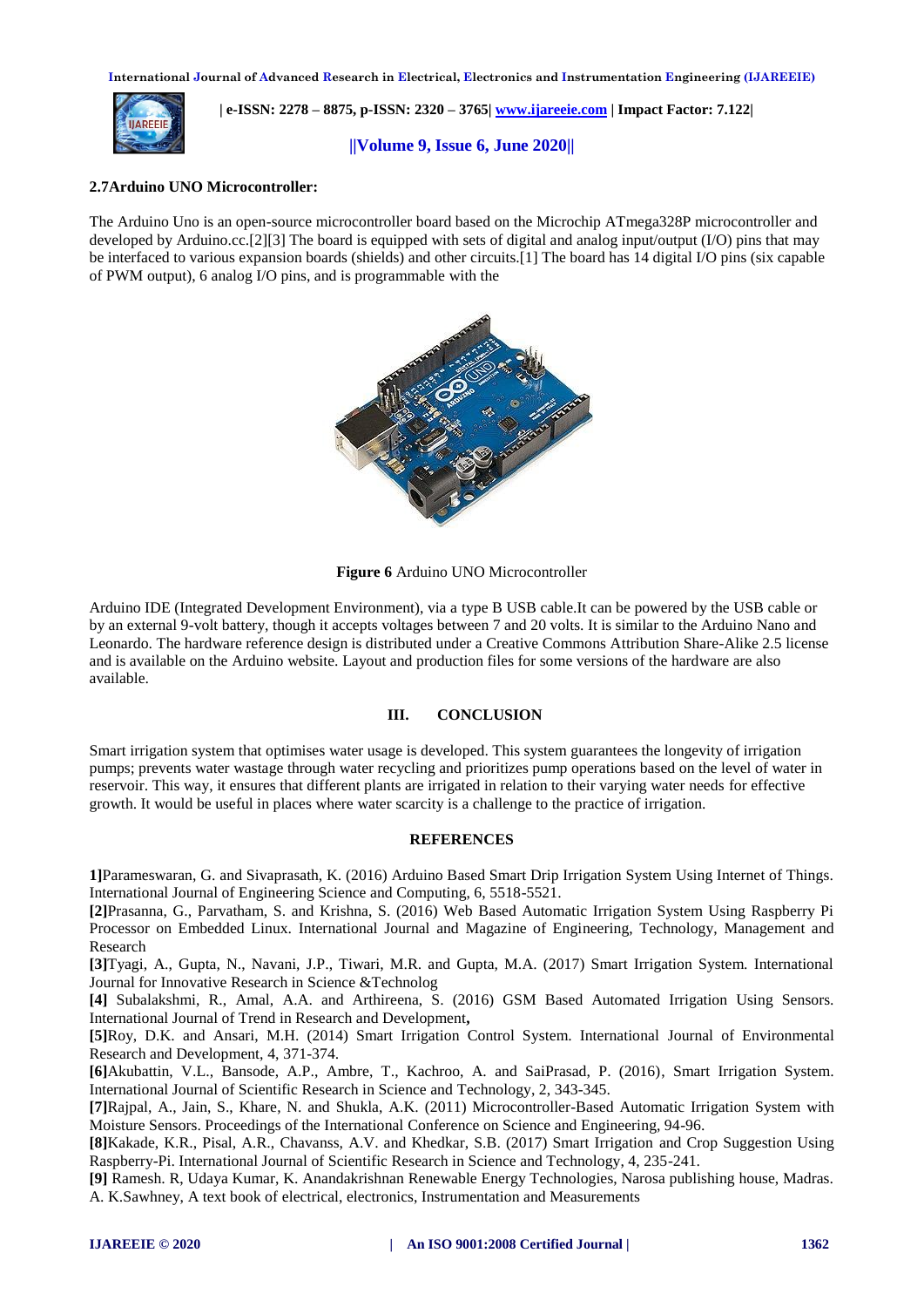

 **| e-ISSN: 2278 – 8875, p-ISSN: 2320 – 3765| [www.ijareeie.com](http://www.ijareeie.com/) | Impact Factor: 7.122|** 

## **||Volume 9, Issue 6, June 2020||**

## **2.7Arduino UNO Microcontroller:**

The Arduino Uno is an open-source microcontroller board based on the Microchip ATmega328P microcontroller and developed by Arduino.cc.[2][3] The board is equipped with sets of digital and analog input/output (I/O) pins that may be interfaced to various expansion boards (shields) and other circuits.[1] The board has 14 digital I/O pins (six capable of PWM output), 6 analog I/O pins, and is programmable with the



**Figure 6** Arduino UNO Microcontroller

Arduino IDE (Integrated Development Environment), via a type B USB cable.It can be powered by the USB cable or by an external 9-volt battery, though it accepts voltages between 7 and 20 volts. It is similar to the Arduino Nano and Leonardo. The hardware reference design is distributed under a Creative Commons Attribution Share-Alike 2.5 license and is available on the Arduino website. Layout and production files for some versions of the hardware are also available.

## **III. CONCLUSION**

Smart irrigation system that optimises water usage is developed. This system guarantees the longevity of irrigation pumps; prevents water wastage through water recycling and prioritizes pump operations based on the level of water in reservoir. This way, it ensures that different plants are irrigated in relation to their varying water needs for effective growth. It would be useful in places where water scarcity is a challenge to the practice of irrigation.

#### **REFERENCES**

**1]**Parameswaran, G. and Sivaprasath, K. (2016) Arduino Based Smart Drip Irrigation System Using Internet of Things. International Journal of Engineering Science and Computing, 6, 5518-5521.

**[2]**Prasanna, G., Parvatham, S. and Krishna, S. (2016) Web Based Automatic Irrigation System Using Raspberry Pi Processor on Embedded Linux. International Journal and Magazine of Engineering, Technology, Management and Research

**[3]**Tyagi, A., Gupta, N., Navani, J.P., Tiwari, M.R. and Gupta, M.A. (2017) Smart Irrigation System. International Journal for Innovative Research in Science &Technolog

**[4]** Subalakshmi, R., Amal, A.A. and Arthireena, S. (2016) GSM Based Automated Irrigation Using Sensors. International Journal of Trend in Research and Development**,**

**[5]**Roy, D.K. and Ansari, M.H. (2014) Smart Irrigation Control System. International Journal of Environmental Research and Development, 4, 371-374.

**[6]**Akubattin, V.L., Bansode, A.P., Ambre, T., Kachroo, A. and SaiPrasad, P. (2016), Smart Irrigation System. International Journal of Scientific Research in Science and Technology, 2, 343-345.

**[7]**Rajpal, A., Jain, S., Khare, N. and Shukla, A.K. (2011) Microcontroller-Based Automatic Irrigation System with Moisture Sensors. Proceedings of the International Conference on Science and Engineering, 94-96.

**[8]**Kakade, K.R., Pisal, A.R., Chavanss, A.V. and Khedkar, S.B. (2017) Smart Irrigation and Crop Suggestion Using Raspberry-Pi. International Journal of Scientific Research in Science and Technology, 4, 235-241.

**[9]** Ramesh. R, Udaya Kumar, K. Anandakrishnan Renewable Energy Technologies, Narosa publishing house, Madras. A. K.Sawhney, A text book of electrical, electronics, Instrumentation and Measurements